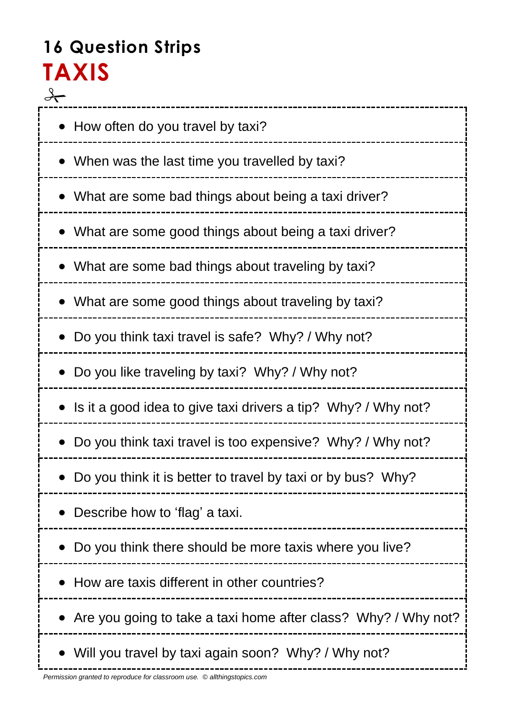# **16 Question Strips TAXIS**

| • How often do you travel by taxi?                             |
|----------------------------------------------------------------|
| • When was the last time you travelled by taxi?                |
| What are some bad things about being a taxi driver?            |
| What are some good things about being a taxi driver?           |
| What are some bad things about traveling by taxi?              |
| • What are some good things about traveling by taxi?           |
| Do you think taxi travel is safe? Why? / Why not?              |
| • Do you like traveling by taxi? Why? / Why not?               |
| Is it a good idea to give taxi drivers a tip? Why? / Why not?  |
| Do you think taxi travel is too expensive? Why? / Why not?     |
| Do you think it is better to travel by taxi or by bus? Why?    |
| Describe how to 'flag' a taxi.                                 |
| Do you think there should be more taxis where you live?        |
| How are taxis different in other countries?                    |
| Are you going to take a taxi home after class? Why? / Why not? |
| Will you travel by taxi again soon? Why? / Why not?            |

--------------------------------

į